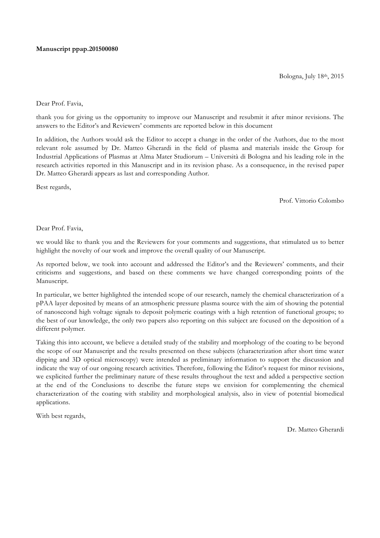#### **Manuscript ppap.201500080**

Bologna, July 18th, 2015

#### Dear Prof. Favia,

thank you for giving us the opportunity to improve our Manuscript and resubmit it after minor revisions. The answers to the Editor's and Reviewers' comments are reported below in this document

In addition, the Authors would ask the Editor to accept a change in the order of the Authors, due to the most relevant role assumed by Dr. Matteo Gherardi in the field of plasma and materials inside the Group for Industrial Applications of Plasmas at Alma Mater Studiorum – Università di Bologna and his leading role in the research activities reported in this Manuscript and in its revision phase. As a consequence, in the revised paper Dr. Matteo Gherardi appears as last and corresponding Author.

Best regards,

Prof. Vittorio Colombo

#### Dear Prof. Favia,

we would like to thank you and the Reviewers for your comments and suggestions, that stimulated us to better highlight the novelty of our work and improve the overall quality of our Manuscript.

As reported below, we took into account and addressed the Editor's and the Reviewers' comments, and their criticisms and suggestions, and based on these comments we have changed corresponding points of the Manuscript.

In particular, we better highlighted the intended scope of our research, namely the chemical characterization of a pPAA layer deposited by means of an atmospheric pressure plasma source with the aim of showing the potential of nanosecond high voltage signals to deposit polymeric coatings with a high retention of functional groups; to the best of our knowledge, the only two papers also reporting on this subject are focused on the deposition of a different polymer.

Taking this into account, we believe a detailed study of the stability and morphology of the coating to be beyond the scope of our Manuscript and the results presented on these subjects (characterization after short time water dipping and 3D optical microscopy) were intended as preliminary information to support the discussion and indicate the way of our ongoing research activities. Therefore, following the Editor's request for minor revisions, we explicited further the preliminary nature of these results throughout the text and added a perspective section at the end of the Conclusions to describe the future steps we envision for complementing the chemical characterization of the coating with stability and morphological analysis, also in view of potential biomedical applications.

With best regards,

Dr. Matteo Gherardi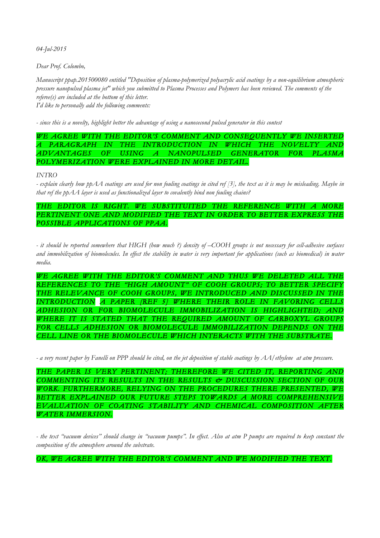*04-Jul-2015*

*Dear Prof. Colombo,* 

*Manuscript ppap.201500080 entitled "Deposition of plasma-polymerized polyacrylic acid coatings by a non-equilibrium atmospheric pressure nanopulsed plasma jet" which you submitted to Plasma Processes and Polymers has been reviewed. The comments of the referee(s) are included at the bottom of this letter. I'd like to personally add the following comments:*

*- since this is a novelty, highlight better the advantage of using a nanosecond pulsed generator in this contest*

WE AGREE WITH THE EDITOR'S COMMENT AND CONSEQUENTLY WE INSERTED *A PARAGRAPH IN THE INTRODUCTION IN WHICH THE NOVELTY AND ADVANTAGES OF USING A NANOPULSED GENERATOR FOR PLASMA POLYMERIZATION WERE EXPLAINED IN MORE DETAIL.* 

### *INTRO*

*- explain clearly how ppAA coatings are used for non fouling coatings in cited ref [3], the text as it is may be misleading. Maybe in that ref the ppAA layer is used as functionalized layer to covalently bind non fouling chains?*

## THE EDITOR IS RIGHT. WE SUBSTITUITED THE REFERENCE WITH A MORE PERTINENT ONE AND MODIFIED THE TEXT IN ORDER TO BETTER EXPRESS THE *POSSIBLE APPLICATIONS OF PPAA.*

*- it should be reported somewhere that HIGH (how much ?) density of –COOH groups is not necessary for cell-adhesive surfaces and immobilization of biomolecules. In effect the stability in water is very important for applications (such as biomedical) in water media.*

*WE AGREE WITH THE EDITOR'S COMMENT AND THUS WE DELETED ALL THE REFERENCES TO THE "HIGH AMOUNT" OF COOH GROUPS; TO BETTER SPECIFY THE RELEVANCE OF COOH GROUPS, WE INTRODUCED AND DISCUSSED IN THE INTRODUCTION A PAPER [REF 5] WHERE THEIR ROLE IN FAVORING CELLS ADHESION OR FOR BIOMOLECULE IMMOBILIZATION IS HIGHLIGHTED; AND WHERE IT IS STATED THAT THE REQUIRED AMOUNT OF CARBOXYL GROUPS FOR CELLS ADHESION OR BIOMOLECULE IMMOBILIZATION DEPENDS ON THE CELL LINE OR THE BIOMOLECULE WHICH INTERACTS WITH THE SUBSTRATE.* 

*- a very recent paper by Fanelli on PPP should be cited, on the jet deposition of stable coatings by AA/ethylene at atm pressure.* 

THE PAPER IS VERY PERTINENT; THEREFORE WE CITED IT, REPORTING AND *COMMENTING ITS RESULTS IN THE RESULTS & DUSCUSSION SECTION OF OUR WORK. FURTHERMORE, RELYING ON THE PROCEDURES THERE PRESENTED, WE BETTER EXPLAINED OUR FUTURE STEPS TOWARDS A MORE COMPREHENSIVE EVALUATION OF COATING STABILITY AND CHEMICAL COMPOSITION AFTER WATER IMMERSION.* 

*- the text "vacuum devices" should change in "vacuum pumps". In effect. Also at atm P pumps are required to keep constant the composition of the atmosphere around the substrate.*

OK, WE AGREE WITH THE EDITOR'S COMMENT AND WE MODIFIED THE TEXT.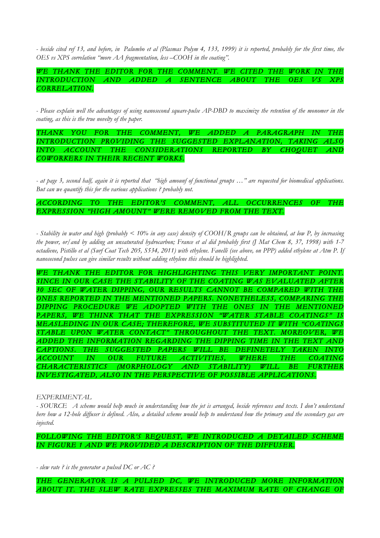*- beside cited ref 13, and before, in Palumbo et al (Plasmas Polym 4, 133, 1999) it is reported, probably for the first time, the OES vs XPS correlation "more AA fragmentation, less –COOH in the coating".*

*WE THANK THE EDITOR FOR THE COMMENT. WE CITED THE WORK IN THE INTRODUCTION AND ADDED A SENTENCE ABOUT THE OES VS XPS CORRELATION.* 

*- Please explain well the advantages of using nanosecond square-pulse AP-DBD to maximize the retention of the monomer in the coating, as this is the true novelty of the paper.*

*THANK YOU FOR THE COMMENT, WE ADDED A PARAGRAPH IN THE INTRODUCTION PROVIDING THE SUGGESTED EXPLANATION, TAKING ALSO INTO ACCOUNT THE CONSIDERATIONS REPORTED BY CHOQUET AND COWORKERS IN THEIR RECENT WORKS.* 

*- at page 3, second half, again it is reported that "high amounf of functional groups …" are requested for biomedical applications. But can we quantify this for the various applications ? probably not.*

## *ACCORDING TO THE EDITOR'S COMMENT, ALL OCCURRENCES OF THE EXPRESSION "HIGH AMOUNT" WERE REMOVED FROM THE TEXT.*

*- Stability in water and high (probably < 10% in any case) density of COOH/R groups can be obtained, at low P, by increasing the power, or/and by adding an unsaturated hydrocarbon; France et al did probably first (J Mat Chem 8, 37, 1998) with 1-7 octadiene, Pistillo et al (Surf Coat Tech 205, S534, 2011) with ethylene. Fanelli (see above, on PPP) added ethylene at Atm P. If nanosecond pulses can give similar results without adding ethylene this should be highlighted.*

*WE THANK THE EDITOR FOR HIGHLIGHTING THIS VERY IMPORTANT POINT. SINCE IN OUR CASE THE STABILITY OF THE COATING WAS EVALUATED AFTER 30 SEC OF WATER DIPPING, OUR RESULTS CANNOT BE COMPARED WITH THE ONES REPORTED IN THE MENTIONED PAPERS. NONETHELESS, COMPARING THE DIPPING PROCEDURE WE ADOPTED WITH THE ONES IN THE MENTIONED*  PAPERS, WE THINK THAT THE EXPRESSION "WATER STABLE COATINGS" *MEASLEDING IN OUR CASE; THEREFORE, WE SUBSTITUTED IT WITH "COATINGS STABLE UPON WATER CONTACT" THROUGHOUT THE TEXT. MOREOVER, WE ADDED THE INFORMATION REGARDING THE DIPPING TIME IN THE TEXT AND CAPTIONS. THE SUGGESTED PAPERS WILL BE DEFINETELY TAKEN INTO ACCOUNT IN OUR FUTURE ACTIVITIES, WHERE THE COATING CHARACTERISTICS (MORPHOLOGY AND STABILITY) WILL BE FURTHER INVESTIGATED, ALSO IN THE PERSPECTIVE OF POSSIBLE APPLICATIONS.* 

*EXPERIMENTAL*

*- SOURCE A scheme would help much in understanding how the jet is arranged, beside references and texts. I don't understand here how a 12-hole diffuser is defined. Also, a detailed scheme would help to understand how the primary and the secondary gas are injected.*

*FOLLOWING THE EDITOR'S REQUEST, WE INTRODUCED A DETAILED SCHEME IN FIGURE 1 AND WE PROVIDED A DESCRIPTION OF THE DIFFUSER.* 

*- slew rate ? is the generator a pulsed DC or AC ?*

THE GENERATOR IS A PULSED DC, WE INTRODUCED MORE INFORMATION ABOUT IT. THE SLEW RATE EXPRESSES THE MAXIMUM RATE OF CHANGE OF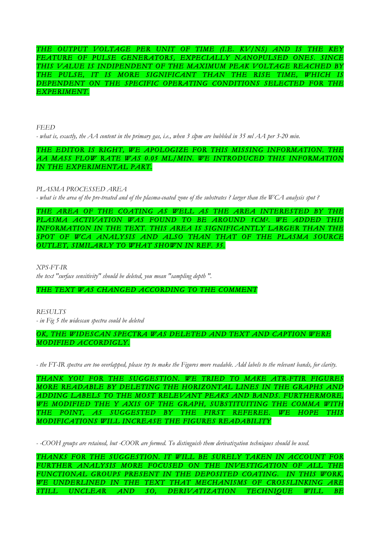*THE OUTPUT VOLTAGE PER UNIT OF TIME (I.E. KV/NS) AND IS THE KEY*  FEATURE OF PULSE GENERATORS, EXPECIALLY NANOPULSED ONES. SINCE *THIS VALUE IS INDIPENDENT OF THE MAXIMUM PEAK VOLTAGE REACHED BY THE PULSE, IT IS MORE SIGNIFICANT THAN THE RISE TIME, WHICH IS DEPENDENT ON THE SPECIFIC OPERATING CONDITIONS SELECTED FOR THE EXPERIMENT.*

*FEED*

*- what is, exactly, the AA content in the primary gas, i.e., when 3 slpm are bubbled in 35 ml AA per 3-20 min.*

# *THE EDITOR IS RIGHT, WE APOLOGIZE FOR THIS MISSING INFORMATION. THE AA MASS FLOW RATE WAS 0.05 ML/MIN. WE INTRODUCED THIS INFORMATION IN THE EXPERIMENTAL PART.*

*PLASMA PROCESSED AREA*

*- what is the area of the pre-treated and of the plasma-coated zone of the substrates ? larger than the WCA analysis spot ?*

*THE AREA OF THE COATING AS WELL AS THE AREA INTERESTED BY THE*  PLASMA ACTIVATION WAS FOUND TO BE AROUND 1CM<sup>2</sup>. WE ADDED THIS *INFORMATION IN THE TEXT. THIS AREA IS SIGNIFICANTLY LARGER THAN THE SPOT OF WCA ANALYSIS AND ALSO THAN THAT OF THE PLASMA SOURCE OUTLET, SIMILARLY TO WHAT SHOWN IN REF. 35.* 

*XPS-FT-IR*

*the text "surface sensitivity" should be deleted, you mean "sampling depth ".*

*THE TEXT WAS CHANGED ACCORDING TO THE COMMENT* 

*RESULTS - in Fig 5 the widescan spectra could be deleted*

*OK, THE WIDESCAN SPECTRA WAS DELETED AND TEXT AND CAPTION WERE MODIFIED ACCORDIGLY.* 

*- the FT-IR spectra are too overlapped, please try to make the Figures more readable. Add labels to the relevant bands, for clarity.*

*THANK YOU FOR THE SUGGESTION. WE TRIED TO MAKE ATR-FTIR FIGURES MORE READABLE BY DELETING THE HORIZONTAL LINES IN THE GRAPHS AND ADDING LABELS TO THE MOST RELEVANT PEAKS AND BANDS. FURTHERMORE, WE MODIFIED THE Y AXIS OF THE GRAPH, SUBSTITUITING THE COMMA WITH THE POINT, AS SUGGESTED BY THE FIRST REFEREE. WE HOPE THIS MODIFICATIONS WILL INCREASE THE FIGURES READABILITY* 

*- -COOH groups are retained, but -COOR are formed. To distinguish them derivatization techniques should be used.*

*THANKS FOR THE SUGGESTION. IT WILL BE SURELY TAKEN IN ACCOUNT FOR FURTHER ANALYSIS MORE FOCUSED ON THE INVESTIGATION OF ALL THE FUNCTIONAL GROUPS PRESENT IN THE DEPOSITED COATING. IN THIS WORK, WE UNDERLINED IN THE TEXT THAT MECHANISMS OF CROSSLINKING ARE STILL UNCLEAR AND SO, DERIVATIZATION TECHNIQUE WILL BE*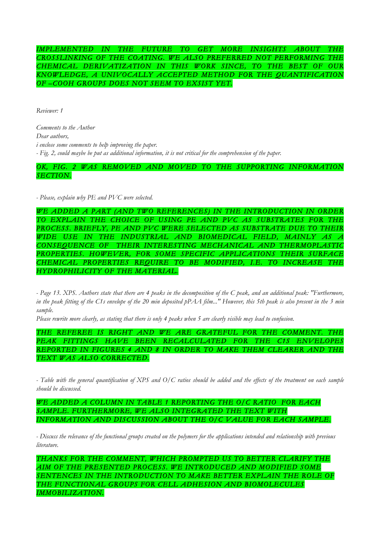*IMPLEMENTED IN THE FUTURE TO GET MORE INSIGHTS ABOUT THE CROSSLINKING OF THE COATING. WE ALSO PREFERRED NOT PERFORMING THE CHEMICAL DERIVATIZATION IN THIS WORK SINCE, TO THE BEST OF OUR KNOWLEDGE, A UNIVOCALLY ACCEPTED METHOD FOR THE QUANTIFICATION OF –COOH GROUPS DOES NOT SEEM TO EXSIST YET.* 

*Reviewer: 1*

*Comments to the Author Dear authors, i enclose some comments to help improving the paper. - Fig. 2, could maybe be put as additional information, it is not critical for the comprehension of the paper.*

OK, FIG. 2 WAS REMOVED AND MOVED TO THE SUPPORTING INFORMATION *SECTION.* 

*- Please, explain why PE and PVC were selected.*

*WE ADDED A PART (AND TWO REFERENCES) IN THE INTRODUCTION IN ORDER TO EXPLAIN THE CHOICE OF USING PE AND PVC AS SUBSTRATES FOR THE PROCESS. BRIEFLY, PE AND PVC WERE SELECTED AS SUBSTRATE DUE TO THEIR WIDE USE IN THE INDUSTRIAL AND BIOMEDICAL FIELD, MAINLY AS CONSEQUENCE OF THEIR INTERESTING MECHANICAL AND THERMOPLASTIC*  PROPERTIES. HOWEVER, FOR SOME SPECIFIC APPLICATIONS THEIR SURFACE *CHEMICAL PROPERTIES REQUIRE TO BE MODIFIED, I.E. TO INCREASE THE HYDROPHILICITY OF THE MATERIAL.* 

*- Page 13. XPS. Authors state that there are 4 peaks in the decomposition of the C peak, and an additional peak: "Furthermore, in the peak fitting of the C1s envelope of the 20 min deposited pPAA film..." However, this 5th peak is also present in the 3 min sample.*

*Please rewrite more clearly, as stating that there is only 4 peaks when 5 are clearly visible may lead to confusion.* 

*THE REFEREE IS RIGHT AND WE ARE GRATEFUL FOR THE COMMENT. THE PEAK FITTINGS HAVE BEEN RECALCULATED FOR THE C1S ENVELOPES REPORTED IN FIGURES 4 AND 8 IN ORDER TO MAKE THEM CLEARER AND THE TEXT WAS ALSO CORRECTED.* 

*- Table with the general quantification of XPS and O/C ratios should be added and the effects of the treatment on each sample should be discussed.*

*WE ADDED A COLUMN IN TABLE 1 REPORTING THE O/C RATIO FOR EACH SAMPLE. FURTHERMORE, WE ALSO INTEGRATED THE TEXT WITH INFORMATION AND DISCUSSION ABOUT THE O/C VALUE FOR EACH SAMPLE.* 

*- Discuss the relevance of the functional groups created on the polymers for the applications intended and relationship with previous literature.*

*THANKS FOR THE COMMENT, WHICH PROMPTED US TO BETTER CLARIFY THE AIM OF THE PRESENTED PROCESS. WE INTRODUCED AND MODIFIED SOME*  SENTENCES IN THE INTRODUCTION TO MAKE BETTER EXPLAIN THE ROLE OF *THE FUNCTIONAL GROUPS FOR CELL ADHESION AND BIOMOLECULES IMMOBILIZATION.*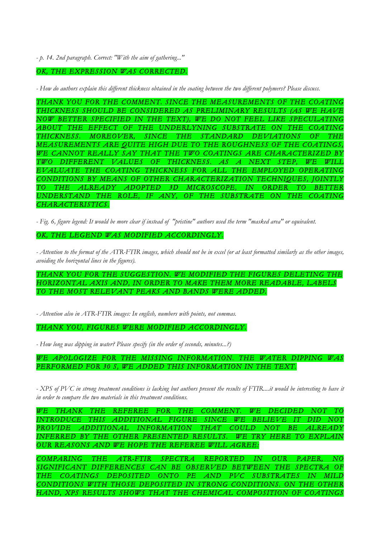*- p. 14. 2nd paragraph. Correct: "With the aim of gathering..."* 

## *OK, THE EXPRESSION WAS CORRECTED.*

*- How do authors explain this different thickness obtained in the coating between the two different polymers? Please discuss.*

*THANK YOU FOR THE COMMENT. SINCE THE MEASUREMENTS OF THE COATING THICKNESS SHOULD BE CONSIDERED AS PRELIMINARY RESULTS (AS WE HAVE NOW BETTER SPECIFIED IN THE TEXT), WE DO NOT FEEL LIKE SPECULATING ABOUT THE EFFECT OF THE UNDERLYNING SUBSTRATE ON THE COATING THICKNESS. MOREOVER, SINCE THE STANDARD DEVIATIONS OF THE MEASUREMENTS ARE QUITE HIGH DUE TO THE ROUGHNESS OF THE COATINGS, WE CANNOT REALLY SAY THAT THE TWO COATINGS ARE CHARACTERIZED BY TWO DIFFERENT VALUES OF THICKNESS. AS A NEXT STEP, WE WILL EVALUATE THE COATING THICKNESS FOR ALL THE EMPLOYED OPERATING CONDITIONS BY MEANS OF OTHER CHARACTERIZATION TECHNIQUES, JOINTLY TO THE ALREADY ADOPTED 3D MICROSCOPE, IN ORDER TO BETTER UNDERSTAND THE ROLE, IF ANY, OF THE SUBSTRATE ON THE COATING CHARACTERISTICS.* 

*- Fig. 6, figure legend: It would be more clear if instead of "pristine" authors used the term "masked area" or equivalent.*

*OK, THE LEGEND WAS MODIFIED ACCORDINGLY.* 

*- Attention to the format of the ATR-FTIR images, which should not be in excel (or at least formatted similarly as the other images, avoiding the horizontal lines in the figures).*

*THANK YOU FOR THE SUGGESTION. WE MODIFIED THE FIGURES DELETING THE HORIZONTAL AXIS AND, IN ORDER TO MAKE THEM MORE READABLE, LABELS TO THE MOST RELEVANT PEAKS AND BANDS WERE ADDED.* 

*- Attention also in ATR-FTIR images: In english, numbers with points, not commas.*

*THANK YOU, FIGURES WERE MODIFIED ACCORDINGLY.*

*- How long was dipping in water? Please specify (in the order of seconds, minutes...?)*

*WE APOLOGIZE FOR THE MISSING INFORMATION. THE WATER DIPPING WAS*  PERFORMED FOR 30 S, WE ADDED THIS INFORMATION IN THE TEXT.

- *XPS* of PVC in strong treatment conditions is lacking but authors present the results of FTIR....it would be interesting to have it *in order to compare the two materials in this treatment conditions.*

*WE THANK THE REFEREE FOR THE COMMENT. WE DECIDED NOT TO INTRODUCE THIS ADDITIONAL FIGURE SINCE WE BELIEVE IT DID NOT PROVIDE ADDITIONAL INFORMATION THAT COULD NOT BE ALREADY INFERRED BY THE OTHER PRESENTED RESULTS. WE TRY HERE TO EXPLAIN OUR REASONS AND WE HOPE THE REFEREE WILL AGREE:* 

*COMPARING THE ATR-FTIR SPECTRA REPORTED IN OUR PAPER, NO SIGNIFICANT DIFFERENCES CAN BE OBSERVED BETWEEN THE SPECTRA OF THE COATINGS DEPOSITED ONTO PE AND PVC SUBSTRATES IN MILD CONDITIONS WITH THOSE DEPOSITED IN STRONG CONDITIONS. ON THE OTHER HAND, XPS RESULTS SHOWS THAT THE CHEMICAL COMPOSITION OF COATINGS*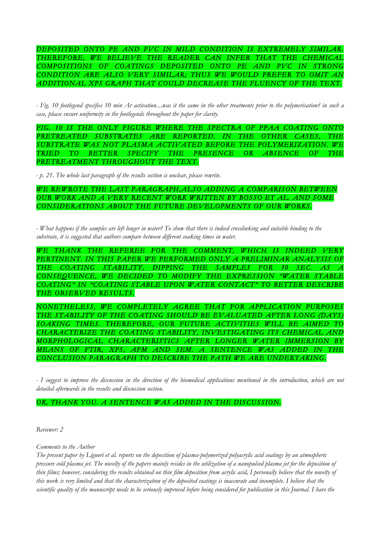*DEPOSITED ONTO PE AND PVC IN MILD CONDITION IS EXTREMELY SIMILAR. THEREFORE, WE BELIEVE THE READER CAN INFER THAT THE CHEMICAL COMPOSITIONS OF COATINGS DEPOSITED ONTO PE AND PVC IN STRONG CONDITION ARE ALSO VERY SIMILAR; THUS WE WOULD PREFER TO OMIT AN ADDITIONAL XPS GRAPH THAT COULD DECREASE THE FLUENCY OF THE TEXT.* 

*- Fig. 10 footlegend specifies 10 min Ar activation....was it the same in the other treatments prior to the polymerisation? in such a case, please ensure uniformity in the footlegends throughout the paper for clarity.*

FIG. 10 IS THE ONLY FIGURE WHERE THE SPECTRA OF PPAA COATING ONTO PRETREATED SUBSTRATES ARE REPORTED. IN THE OTHER CASES, THE *SUBSTRATE WAS NOT PLASMA ACTIVATED BEFORE THE POLYMERIZATION. WE TRIED TO BETTER SPECIFY THE PRESENCE OR ABSENCE OF THE PRETREATMENT THROUGHOUT THE TEXT.* 

*- p. 21. The whole last paragraph of the results section is unclear, please rewrite.*

*WE REWROTE THE LAST PARAGRAPH,ALSO ADDING A COMPARISON BETWEEN OUR WORK AND A VERY RECENT WORK WRITTEN BY BOSSO ET AL. AND SOME CONSIDERATIONS ABOUT THE FUTURE DEVELOPMENTS OF OUR WORKS.* 

*- What happens if the samples are left longer in water? To show that there is indeed crosslinking and suitable binding to the substrate, it is suggested that authors compare between different soaking times in water.*

*WE THANK THE REFEREE FOR THE COMMENT, WHICH IS INDEED VERY*  PERTINENT. IN THIS PAPER WE PERFORMED ONLY A PRELIMINAR ANALYSIS OF THE COATING STABILITY, DIPPING THE SAMPLES FOR 30 SEC. AS *CONSEQUENCE, WE DECIDED TO MODIFY THE EXPRESSION "WATER STABLE COATING" IN "COATING STABLE UPON WATER CONTACT" TO BETTER DESCRIBE THE OBSERVED RESULTS.* 

*NONETHELESS, WE COMPLETELY AGREE THAT FOR APPLICATION PURPOSES THE STABILITY OF THE COATING SHOULD BE EVALUATED AFTER LONG (DAYS) SOAKING TIMES. THEREFORE, OUR FUTURE ACTIVITIES WILL BE AIMED TO CHARACTERIZE THE COATING STABILITY, INVESTIGATING ITS CHEMICAL AND MORPHOLOGICAL CHARACTERISTICS AFTER LONGER WATER IMMERSION BY MEANS OF FTIR, XPS, AFM AND SEM. A SENTENCE WAS ADDED IN THE CONCLUSION PARAGRAPH TO DESCRIBE THE PATH WE ARE UNDERTAKING.* 

*- I suggest to improve the discussion in the direction of the biomedical applications mentioned in the introduction, which are not detailed afterwards in the results and discussion section.*

## *OK, THANK YOU. A SENTENCE WAS ADDED IN THE DISCUSSION.*

*Reviewer: 2*

*Comments to the Author*

*The present paper by Liguori et al. reports on the deposition of plasma-polymerized polyacrylic acid coatings by an atmospheric pressure cold plasma jet. The novelty of the papers mainly resides in the utilization of a nanopulsed plasma jet for the deposition of thin films; however, considering the results obtained on thin film deposition from acrylic acid, I personally believe that the novelty of this work is very limited and that the characterization of the deposited coatings is inaccurate and incomplete. I believe that the scientific quality of the manuscript needs to be seriously improved before being considered for publication in this Journal. I have the*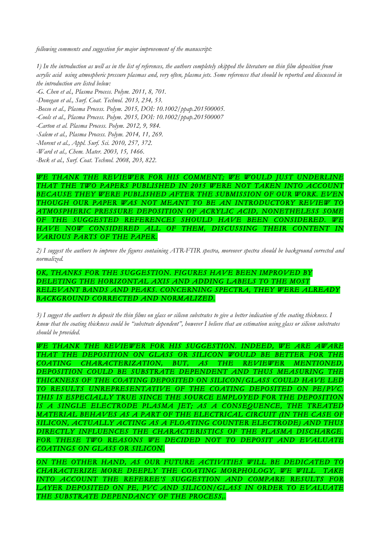*following comments and suggestion for major improvement of the manuscript:*

*1) In the introduction as well as in the list of references, the authors completely skipped the literature on thin film deposition from acrylic acid using atmospheric pressure plasmas and, very often, plasma jets. Some references that should be reported and discussed in the introduction are listed below:*

*-G. Chen et al., Plasma Process. Polym. 2011, 8, 701.*

*-Donegan et al., Surf. Coat. Technol. 2013, 234, 53.*

*-Bosso et al., Plasma Process. Polym. 2015, DOI: 10.1002/ppap.201500005.*

*-Cools et al., Plasma Process. Polym. 2015, DOI: 10.1002/ppap.201500007*

*-Carton et al. Plasma Process. Polym. 2012, 9, 984.*

*-Salem et al., Plasma Process. Polym. 2014, 11, 269.*

*-Morent et al., Appl. Surf. Sci. 2010, 257, 372.*

*-Ward et al., Chem. Mater. 2003, 15, 1466.*

*-Beck et al., Surf. Coat. Technol. 2008, 203, 822.*

*WE THANK THE REVIEWER FOR HIS COMMENT; WE WOULD JUST UNDERLINE THAT THE TWO PAPERS PUBLISHED IN 2015 WERE NOT TAKEN INTO ACCOUNT BECAUSE THEY WERE PUBLISHED AFTER THE SUBMISSION OF OUR WORK. EVEN THOUGH OUR PAPER WAS NOT MEANT TO BE AN INTRODUCTORY REVIEW TO ATMOSPHERIC PRESSURE DEPOSITION OF ACRYLIC ACID, NONETHELESS SOME OF THE SUGGESTED REFERENCES SHOULD HAVE BEEN CONSIDERED. WE HAVE NOW CONSIDERED ALL OF THEM, DISCUSSING THEIR CONTENT IN VARIOUS PARTS OF THE PAPER.* 

*2) I suggest the authors to improve the figures containing ATR-FTIR spectra, moreover spectra should be background corrected and normalized.*

*OK, THANKS FOR THE SUGGESTION. FIGURES HAVE BEEN IMPROVED BY DELETING THE HORIZONTAL AXIS AND ADDING LABELS TO THE MOST RELEVANT BANDS AND PEAKS. CONCERNING SPECTRA, THEY WERE ALREADY BACKGROUND CORRECTED AND NORMALIZED.* 

*3) I suggest the authors to deposit the thin films on glass or silicon substrates to give a better indication of the coating thickness. I know that the coating thickness could be "substrate dependent", however I believe that an estimation using glass or silicon substrates should be provided.*

*WE THANK THE REVIEWER FOR HIS SUGGESTION. INDEED, WE ARE AWARE*  THAT THE DEPOSITION ON GLASS OR SILICON WOULD BE BETTER FOR THE *COATING CHARACTERIZATION, BUT, AS THE REVIEWER MENTIONED, DEPOSITION COULD BE SUBSTRATE DEPENDENT AND THUS MEASURING THE THICKNESS OF THE COATING DEPOSITED ON SILICON/GLASS COULD HAVE LED TO RESULTS UNREPRESENTATIVE OF THE COATING DEPOSITED ON PE/PVC. THIS IS ESPECIALLY TRUE SINCE THE SOURCE EMPLOYED FOR THE DEPOSITION IS A SINGLE ELECTRODE PLASMA JET; AS A CONSEQUENCE, THE TREATED MATERIAL BEHAVES AS A PART OF THE ELECTRICAL CIRCUIT (IN THE CASE OF SILICON, ACTUALLY ACTING AS A FLOATING COUNTER ELECTRODE) AND THUS DIRECTLY INFLUENCES THE CHARACTERISTICS OF THE PLASMA DISCHARGE.*  FOR THESE TWO REASONS WE DECIDED NOT TO DEPOSIT AND EVALUATE *COATINGS ON GLASS OR SILICON.* 

*ON THE OTHER HAND, AS OUR FUTURE ACTIVITIES WILL BE DEDICATED TO CHARACTERIZE MORE DEEPLY THE COATING MORPHOLOGY, WE WILL TAKE INTO ACCOUNT THE REFEREE'S SUGGESTION AND COMPARE RESULTS FOR*  LAYER DEPOSITED ON PE, PVC AND SILICON/GLASS IN ORDER TO EVALUATE *THE SUBSTRATE DEPENDANCY OF THE PROCESS,.*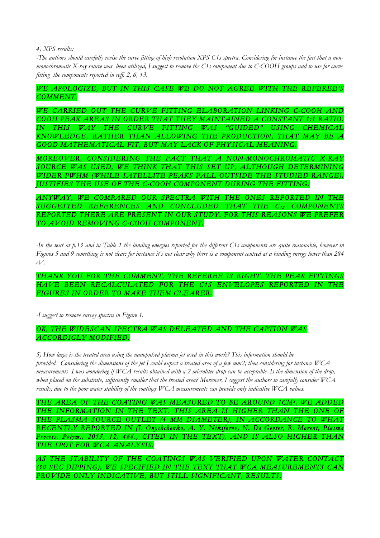*4) XPS results:*

*-The authors should carefully revise the curve fitting of high resolution XPS C1s spectra. Considering for instance the fact that a nonmonochromatic X-ray source was been utilized, I suggest to remove the C1s component due to C-COOH groups and to use for curve fitting the components reported in reff. 2, 6, 13.*

*WE APOLOGIZE, BUT IN THIS CASE WE DO NOT AGREE WITH THE REFEREE'S COMMENT.* 

WE CARRIED OUT THE CURVE FITTING ELABORATION LINKING C-COOH AND *COOH PEAK AREAS IN ORDER THAT THEY MAINTAINED A CONSTANT 1:1 RATIO. IN THIS WAY THE CURVE FITTING WAS "GUIDED" USING CHEMICAL KNOWLEDGE, RATHER THAN ALLOWING THE PRODUCTION, THAT MAY BE A GOOD MATHEMATICAL FIT, BUT MAY LACK OF PHYSICAL MEANING.* 

*MOREOVER, CONSIDERING THE FACT THAT A NON-MONOCHROMATIC X-RAY SOURCE WAS USED, WE THINK THAT THIS SET UP, ALTHOUGH DETERMINING WIDER FWHM (WHILE SATELLITE PEAKS FALL OUTSIDE THE STUDIED RANGE), JUSTIFIES THE USE OF THE C-COOH COMPONENT DURING THE FITTING.* 

*ANYWAY, WE COMPARED OUR SPECTRA WITH THE ONES REPORTED IN THE SUGGESTED REFERENCES AND CONCLUDED THAT THE C1S COMPONENTS REPORTED THERE ARE PRESENT IN OUR STUDY. FOR THIS REASONS WE PREFER TO AVOID REMOVING C-COOH COMPONENT.* 

*-In the text at p.13 and in Table 1 the binding energies reported for the different C1s components are quite reasonable, however in Figures 5 and 9 something is not clear: for instance it's not clear why there is a component centred at a binding energy lower than 284 eV.*

*THANK YOU FOR THE COMMENT, THE REFEREE IS RIGHT. THE PEAK FITTINGS HAVE BEEN RECALCULATED FOR THE C1S ENVELOPES REPORTED IN THE FIGURES IN ORDER TO MAKE THEM CLEARER.* 

*-I suggest to remove survey spectra in Figure 1.*

## *OK, THE WIDESCAN SPECTRA WAS DELEATED AND THE CAPTION WAS ACCORDIGLY MODIFIED.*

*5) How large is the treated area using the nanopulsed plasma jet used in this work? This information should be provided. Considering the dimensions of the jet I could expect a treated area of a few mm2; then considering for instance WCA measurements I was wondering if WCA results obtained with a 2 microliter drop can be acceptable. Is the dimension of the drop, when placed on the substrate, sufficiently smaller that the treated area? Moreover, I suggest the authors to carefully consider WCA results; due to the poor water stability of the coatings WCA measurements can provide only indicative WCA values.*

THE AREA OF THE COATING WAS MEASURED TO BE AROUND 1CM<sup>2</sup>. WE ADDED *THE INFORMATION IN THE TEXT. THIS AREA IS HIGHER THAN THE ONE OF*  THE PLASMA SOURCE OUTLET (4 MM DIAMETER), IN ACCORDANCE TO WHAT *RECENTLY REPORTED IN (I. Onyshchenko, A. Y. Nikiforov, N. De Geyter, R. Morent, Plasma Process. Polym., 2015, 12, 466., CITED IN THE TEXT), AND IS ALSO HIGHER THAN THE SPOT FOR WCA ANALYSIS.* 

*AS THE STABILITY OF THE COATINGS WAS VERIFIED UPON WATER CONTACT (30 SEC DIPPING), WE SPECIFIED IN THE TEXT THAT WCA MEASUREMENTS CAN PROVIDE ONLY INDICATIVE, BUT STILL SIGNIFICANT, RESULTS.*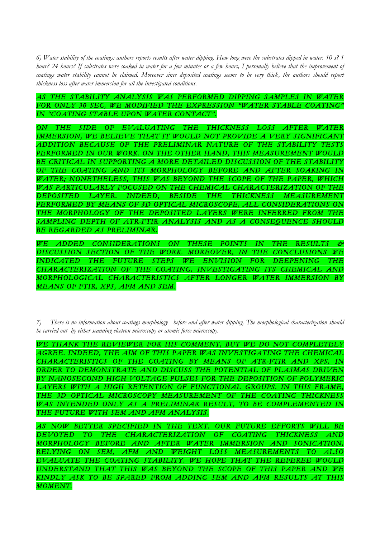*6) Water stability of the coatings: authors reports results after water dipping. How long were the substrates dipped in water. 10 s? 1 hour? 24 hours? If substrates were soaked in water for a few minutes or a few hours, I personally believe that the improvement of coatings water stability cannot be claimed. Moreover since deposited coatings seems to be very thick, the authors should report thickness loss after water immersion for all the investigated conditions.*

# *AS THE STABILITY ANALYSIS WAS PERFORMED DIPPING SAMPLES IN WATER FOR ONLY 30 SEC, WE MODIFIED THE EXPRESSION "WATER STABLE COATING" IN "COATING STABLE UPON WATER CONTACT".*

*ON THE SIDE OF EVALUATING THE THICKNESS LOSS AFTER WATER*  IMMERSION, WE BELIEVE THAT IT WOULD NOT PROVIDE A VERY SIGNIFICANT *ADDITION BECAUSE OF THE PRELIMINAR NATURE OF THE STABILITY TESTS*  PERFORMED IN OUR WORK. ON THE OTHER HAND, THIS MEASUREMENT WOULD *BE CRITICAL IN SUPPORTING A MORE DETAILED DISCUSSION OF THE STABILITY OF THE COATING AND ITS MORPHOLOGY BEFORE AND AFTER SOAKING IN*  WATER; NONETHELESS, THIS WAS BEYOND THE SCOPE OF THE PAPER, WHICH *WAS PARTICULARLY FOCUSED ON THE CHEMICAL CHARACTERIZATION OF THE DEPOSITED LAYER. INDEED, BESIDE THE THICKNESS MEASUREMENT*  PERFORMED BY MEANS OF 3D OPTICAL MICROSCOPE, ALL CONSIDERATIONS ON *THE MORPHOLOGY OF THE DEPOSITED LAYERS WERE INFERRED FROM THE*  SAMPLING DEPTH OF ATR-FTIR ANALYSIS AND AS A CONSEQUENCE SHOULD *BE REGARDED AS PRELIMINAR.* 

*WE ADDED CONSIDERATIONS ON THESE POINTS IN THE RESULTS & DISCUSSION SECTION OF THE WORK. MOREOVER, IN THE CONCLUSIONS WE INDICATED THE FUTURE STEPS WE ENVISION FOR DEEPENING THE CHARACTERIZATION OF THE COATING, INVESTIGATING ITS CHEMICAL AND MORPHOLOGICAL CHARACTERISTICS AFTER LONGER WATER IMMERSION BY MEANS OF FTIR, XPS, AFM AND SEM.* 

*7) There is no information about coatings morphology before and after water dipping. The morphological characterization should be carried out by either scanning electron microscopy or atomic force microscopy.*

*WE THANK THE REVIEWER FOR HIS COMMENT, BUT WE DO NOT COMPLETELY AGREE. INDEED, THE AIM OF THIS PAPER WAS INVESTIGATING THE CHEMICAL CHARACTERISTICS OF THE COATING BY MEANS OF ATR-FTIR AND XPS, IN ORDER TO DEMONSTRATE AND DISCUSS THE POTENTIAL OF PLASMAS DRIVEN BY NANOSECOND HIGH VOLTAGE PULSES FOR THE DEPOSITION OF POLYMERIC*  LAYERS WITH A HIGH RETENTION OF FUNCTIONAL GROUPS. IN THIS FRAME, *THE 3D OPTICAL MICROSCOPY MEASUREMENT OF THE COATING THICKNESS WAS INTENDED ONLY AS A PRELIMINAR RESULT, TO BE COMPLEMENTED IN THE FUTURE WITH SEM AND AFM ANALYSIS.* 

*AS NOW BETTER SPECIFIED IN THE TEXT, OUR FUTURE EFFORTS WILL BE DEVOTED TO THE CHARACTERIZATION OF COATING THICKNESS AND MORPHOLOGY BEFORE AND AFTER WATER IMMERSION AND SONICATION, RELYING ON SEM, AFM AND WEIGHT LOSS MEASUREMENTS TO ALSO EVALUATE THE COATING STABILITY. WE HOPE THAT THE REFEREE WOULD UNDERSTAND THAT THIS WAS BEYOND THE SCOPE OF THIS PAPER AND WE KINDLY ASK TO BE SPARED FROM ADDING SEM AND AFM RESULTS AT THIS MOMENT.*